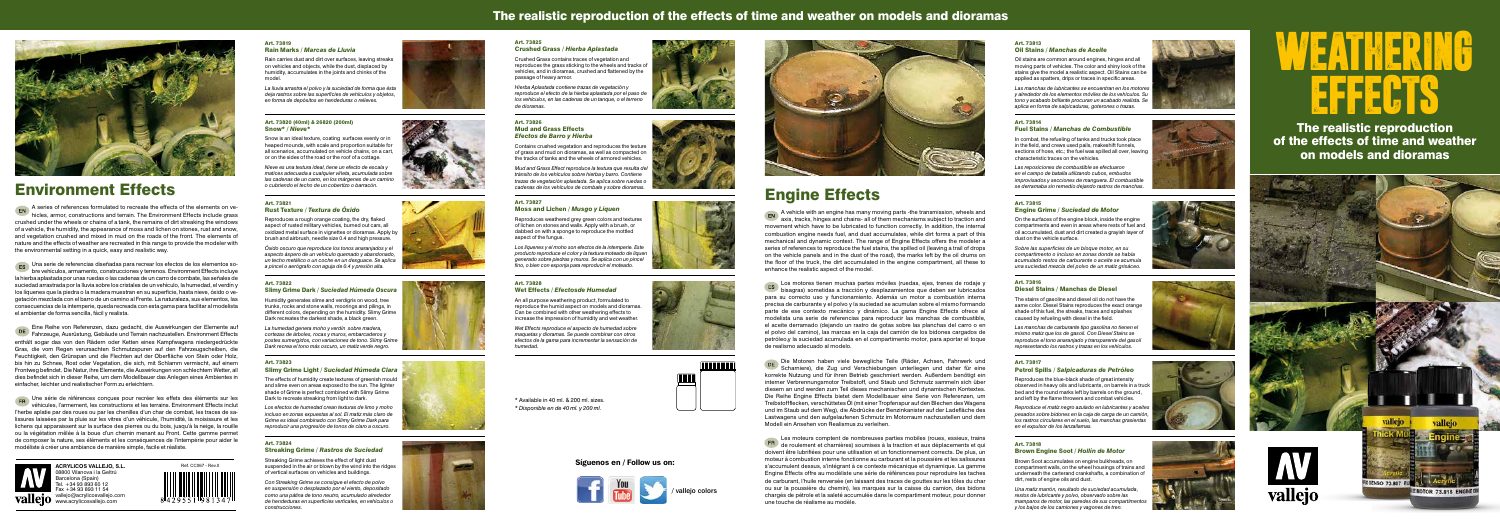### The realistic reproduction of the effects of time and weather on models and dioramas



The realistic reproduction of the effects of time and weather on models and dioramas









### Engine Effects

EN A vehicle with an engine has many moving parts -the transmission, wheels and axis, tracks, hinges and chains- all of them mechanisms subject to traction and movement which have to be lubricated to function correctly. In addition, the internal combustion engine needs fuel, and dust accumulates, while dirt forms a part of this mechanical and dynamic context. The range of Engine Effects offers the modeler a series of references to reproduce the fuel stains, the spilled oil (leaving a trail of drops on the vehicle panels and in the dust of the road), the marks left by the oil drums on the floor of the truck, the dirt accumulated in the engine compartment, all these to enhance the realistic aspect of the model.

Die Motoren haben viele bewegliche Teile (Räder, Achsen, Fahrwerk und Scharniere), die Zug und Verschiebungen unterliegen und daher für eine korrekte Nutzung und für ihren Betrieb geschmiert werden. Außerdem benötigt ein interner Verbrennungsmotor Treibstoff, und Staub und Schmutz sammeln sich über diesem an und werden zum Teil dieses mechanischen und dynamischen Kontextes. Die Reihe Engine Effects bietet dem Modellbauer eine Serie von Referenzen, um Treibstoffflecken, verschüttetes Öl (mit einer Tropfenspur auf den Blechen des Wagens und im Staub auf dem Weg), die Abdrücke der Benzinkanister auf der Ladefläche des Lastwagens und den aufgelaufenen Schmutz im Motorraum nachzustellen und dem Modell ein Ansehen von Realismus zu verleihen.

Los motores tienen muchas partes móviles (ruedas, ejes, trenes de rodaje y bisagras) sometidas a tracción y desplazamientos que deben ser lubricados para su correcto uso y funcionamiento. Además un motor a combustión interna precisa de carburante y el polvo y la suciedad se acumulan sobre el mismo formando parte de ese contexto mecánico y dinámico. La gama Engine Effects ofrece al modelista una serie de referencias para reproducir las manchas de combustible, el aceite derramado (dejando un rastro de gotas sobre las planchas del carro o en el polvo del camino), las marcas en la caja del camión de los bidones cargados de petróleo,y la suciedad acumulada en el compartimento motor, para aportar el toque de realismo adecuado al modelo.

**EN** A series of references formulated to recreate the effects of the elements on vehicles, armor, constructions and terrain. The Environment Effects include grass crushed under the wheels or chains of a tank, the remains of dirt streaking the windows of a vehicle, the humidity, the appearance of moss and lichen on stones, rust and snow, and vegetation crushed and mixed in mud on the roads of the front. The elements of nature and the effects of weather are recreated in this range to provide the modeler with the environmental setting in a quick, easy and realistic way.

**ES** Una serie de referencias diseñadas para recrear los efectos de los elementos sobre vehículos, armamento, construcciones y terrenos. Environment Effects incluye la hierba aplastada por unas ruedas o las cadenas de un carro de combate, las señales de suciedad arrastrada por la lluvia sobre los cristales de un vehículo, la humedad, el verdín y los líquenes que la piedra o la madera muestran en su superficie, hasta nieve, óxido o vegetación mezclada con el barro de un camino al Frente. La naturaleza, sus elementos, las consecuencias de la intemperie, queda recreada con esta gama para facilitar al modelista el ambientar de forma sencilla, fácil y realista.

> Les moteurs comptent de nombreuses parties mobiles (roues, essieux, trains de roulement et charnières) soumises à la traction et aux déplacements et qui doivent être lubrifiées pour une utilisation et un fonctionnement corrects. De plus, un moteur à combustion interne fonctionne au carburant et la poussière et les salissures s'accumulent dessus, s'intégrant à ce contexte mécanique et dynamique. La gamme Engine Effects offre au modéliste une série de références pour reproduire les taches de carburant, l'huile renversée (en laissant des traces de gouttes sur les tôles du char ou sur la poussière du chemin), les marques sur la caisse du camion, des bidons chargés de pétrole et la saleté accumulée dans le compartiment moteur, pour donner une touche de réalisme au modèle.





ER Une série de références conçues pour recréer les effets des éléments sur les véhicules, l'armement, les constructions et les terrains. Environment Effects inclut l'herbe aplatie par des roues ou par les chenilles d'un char de combat, les traces de salissures laissées par la pluie sur les vitres d'un véhicule, l'humidité, la moisissure et les lichens qui apparaissent sur la surface des pierres ou du bois, jusqu'à la neige, la rouille ou la végétation mêlée à la boue d'un chemin menant au Front. Cette gamme permet de composer la nature, ses éléments et les conséquences de l'intempérie pour aider le modéliste à créer une ambiance de manière simple, facile et réaliste.



### Environment Effects

Eine Reihe von Referenzen, dazu gedacht, die Auswirkungen der Elemente auf Fahrzeuge, Ausrüstung, Gebäude und Terrain nachzustellen. Environment Effects enthält sogar das von den Rädern oder Ketten eines Kampfwagens niedergedrückte Gras, die vom Regen verursachten Schmutzspuren auf den Fahrzeugscheiben, die Feuchtigkeit, den Grünspan und die Flechten auf der Oberfläche von Stein oder Holz, bis hin zu Schnee, Rost oder Vegetation, die sich, mit Schlamm vermischt, auf einem Frontweg befindet. Die Natur, ihre Elemente, die Auswirkungen von schlechtem Wetter, all dies befindet sich in dieser Reihe, um dem Modellbauer das Anlegen eines Ambientes in einfacher, leichter und realistischer Form zu erleichtern.

Humidity generates slime and verdigris on wood, tree trunks, rocks and stone walls, moorings and pilings, in different colors, depending on the humidity. Slimy Grime Dark recreates the darkest shade, a black green.

### Art. 73819 Rain Marks / *Marcas de Lluvia*

Rain carries dust and dirt over surfaces, leaving streaks on vehicles and objects, while the dust, displaced by humidity, accumulates in the joints and chinks of the model.

*La lluvia arrastra el polvo y la suciedad de forma que ésta deja rastros sobre las superficies de vehículos y objetos, en forma de depósitos en hendeduras o relieves.*

### Art. 73825 Crushed Grass / *Hierba Aplastada*

Crushed Grass contains traces of vegetation and reproduces the grass sticking to the wheels and tracks of vehicles, and in dioramas, crushed and flattened by the passage of heavy armor.

*Hierba Aplastada contiene trazas de vegetación y reproduce el efecto de la hierba aplastada por el paso de los vehículos, en las cadenas de un tanque, o el terreno de dioramas.*

#### Art. 73813 Oil Stains / *Manchas de Aceite*

Oil stains are common around engines, hinges and all moving parts of vehicles. The color and shiny look of the stains give the model a realistic aspect. Oil Stains can be applied as spatters, drips or traces in specific areas.

*Las manchas de lubricantes se encuentran en los motores y alrededor de los elementos móviles de los vehículos. Su tono y acabado brillante procuran un acabado realista. Se aplica en forma de salpicaduras, goterones o trazas.*

#### Art. 73820 (40ml) & 26820 (200ml) Snow\* / *Nieve\**

Snow is an ideal texture, coating surfaces evenly or in heaped mounds, with scale and proportion suitable for all scenarios, accumulated on vehicle chains, on a cart, or on the sides of the road or the roof of a cottage.

*Nieve es una textura ideal, tiene un efecto de escala y matices adecuada a cualquier viñeta, acumulada sobre las cadenas de un carro, en los márgenes de un camino o cubriendo el techo de un cobertizo o barracón.*

#### Art. 73826 Mud and Grass Effects *Efectos de Barro y Hierba*

Contains crushed vegetation and reproduces the texture of grass and mud on dioramas, as well as compacted on the tracks of tanks and the wheels of armored vehicles.

*Mud and Grass Effect reproduce la textura que resulta del tránsito de los vehículos sobre hierba y barro. Contiene trazas de vegetación aplastada. Se aplica sobre ruedas o cadenas de los vehículos de combate y sobre dioramas.*

### Art. 73814 Fuel Stains / *Manchas de Combustible*

In combat, the refueling of tanks and trucks took place in the field, and crews used pails, makeshift funnels, sections of hose, etc.; the fuel was spilled all over, leaving characteristic traces on the vehicles.

*Las reposiciones de combustible se efectuaron en el campo de batalla utilizando cubos, embudos improvisados y secciones de manguera. El combustible se derramaba sin remedio dejando rastros de manchas.*

### Art. 73821 Rust Texture / *Textura de Óxido*

Reproduces a rough orange coating, the dry, flaked aspect of rusted military vehicles, burned out cars, all oxidized metal surface in vignettes or dioramas. Apply by brush and airbrush, needle size 0.4 and high pressure.

*Óxido oscuro que reproduce los tonos anaranjados y el aspecto áspero de un vehículo quemado y abandonado, un techo metálico o un coche en un desguace. Se aplica a pincel o aerógrafo con aguja de 0.4 y presión alta.*

### Art. 73827 Moss and Lichen / *Musgo y Líquen*

Reproduces weathered grey green colors and textures of lichen on stones and walls. Apply with a brush, or dabbed on with a sponge to reproduce the mottled aspect of the fungus.

*Los líquenes y el moho son efectos de la intemperie. Este producto reproduce el color y la textura moteado de liquen generado sobre piedras y muros. Se aplica con un pincel fino, o bien con esponja para reproducir el moteado.*

#### Art. 73815 Engine Grime / *Suciedad de Motor*

On the surfaces of the engine block, inside the engine compartments and even in areas where rests of fuel and oil accumulated, dust and dirt created a grayish layer of dust on the vehicle surface.

*Sobre las superficies de un bloque motor, en su compartimento o incluso en zonas donde se había acumulado restos de carburante o aceite se acumula una suciedad mezcla del polvo de un matiz grisáceo.*

### Art. 73822 Slimy Grime Dark / *Suciedad Húmeda Oscura*

*La humedad genera moho y verdín sobre madera, cortezas de árboles, rocas y muros, embarcaderos y postes sumergidos, con variaciones de tono. Slimy Grime Dark recrea el tono más oscuro, un matiz verde negro.*

### Art. 73828 Wet Effects / *Efectosde Humedad*

An all purpose weathering product, formulated to reproduce the humid aspect on models and dioramas. Can be combined with other weathering effects to increase the impression of humidity and wet weather.

*Wet Effects reproduce el aspecto de humedad sobre maquetas y dioramas. Se puede combinar con otros efectos de la gama para incrementar la sensación de humedad.* 

### Art. 73816 Diesel Stains / Manchas de Diesel

The stains of gasoline and diesel oil do not have the same color. Diesel Stains reproduces the exact orange shade of this fuel, the streaks, traces and splashes caused by refueling with diesel in the field.

*Las manchas de carburante tipo gasolina no tienen el mismo matiz que los de gasoil. Con Diesel Stains se reproduce el tono anaranjado y transparente del gasoil representando los rastros y trazas en los vehículos.*

### Art. 73823

### Slimy Grime Light / *Suciedad Húmeda Clara*

The effects of humidity create textures of greenish mould and slime even on areas exposed to the sun. The lighter shade of Grime is perfect combined with Slimy Grime Dark to recreate streaking from light to dark.

*Los efectos de humedad crean texturas de limo y moho incluso en zonas expuestas al sol. El matiz más claro de Grime es ideal combinado con Slimy Grime Dark para reproducir una progresión de tonos de claro a oscuro.*

### Art. 73817 Petrol Spills / *Salpicaduras de Petróleo*

Reproduces the blue-black shade of great intensity observed in heavy oils and lubricants, on barrels in a truck bed and the round marks left by barrels on the ground, and left by the flame throwers and combat vehicles.

*Reproduce el matiz negro azulado en lubricantes y aceites pesados sobre bidones en la caja de carga de un camión, los rastros circulares en el suelo, las manchas grasientas en el expulsor de los lanzallamas.*

### Art. 73824 Streaking Grime / *Rastros de Suciedad*

Streaking Grime achieves the effect of light dust suspended in the air or blown by the wind into the ridges of vertical surfaces on vehicles and buildings.

*Con Streaking Grime se consigue el efecto de polvo en suspensión o desplazado por el viento, depositado como una pátina de tono neutro, acumulado alrededor de hendeduras en superficies verticales, en vehículos o construcciones.*









### Art. 73818 Brown Engine Soot / *Hollín de Motor*

Brown Soot accumulates on engine bulkheads, on compartment walls, on the wheel housings of trains and underneath the carterand crankshafts, a combination of dirt, rests of engine oils and dust.

*Una matiz marrón, resultado de suciedad acumulada, restos de lubricante y polvo, observado sobre las mamparos de motor, las paredes de sus compartim y los bajos de los camiones y vagones de tren.*













# WEATHERING EFFECTS

**ACRYLICOS VALLEJO, S.L.**  08800 Vilanova i la Geltrú Barcelona (Spain) Tel. +34 93 893 60 12 Fax +34 93 893 11 54 vallejo@acrylicosvallejo.com www.acrylicosvallejo.com















\* Available in 40 ml. & 200 ml. sizes.

*\* Disponible en de 40 ml. y 200 ml.*